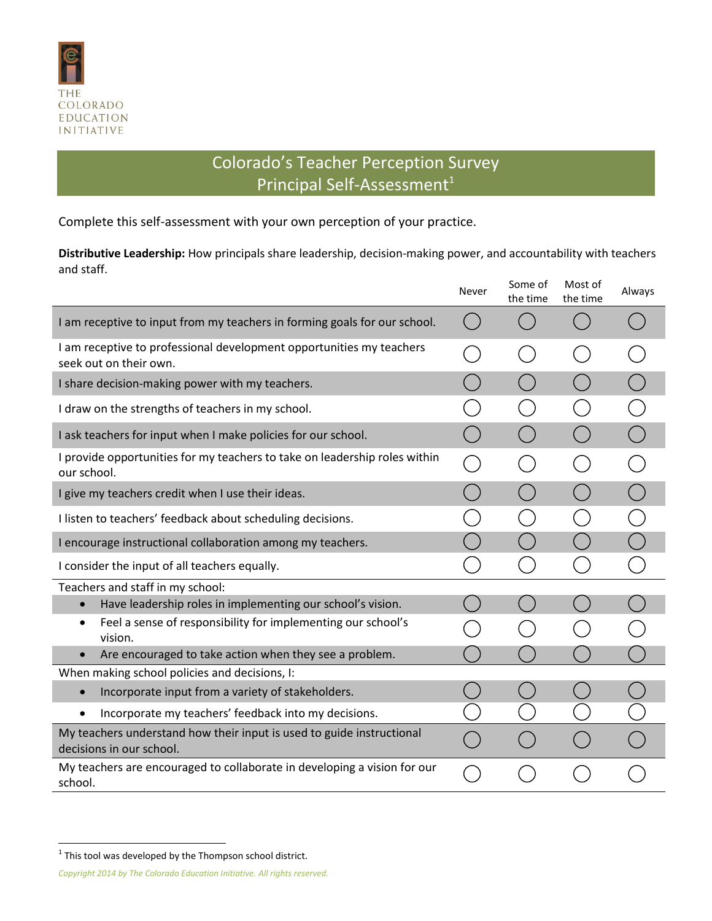

## Colorado's Teacher Perception Survey Principal Self-Assessment<sup>1</sup>

Complete this self-assessment with your own perception of your practice.

**Distributive Leadership:** How principals share leadership, decision-making power, and accountability with teachers and staff.

|                                                                                                   | Never | Some of<br>the time | Most of<br>the time | Always |
|---------------------------------------------------------------------------------------------------|-------|---------------------|---------------------|--------|
| I am receptive to input from my teachers in forming goals for our school.                         |       |                     |                     |        |
| I am receptive to professional development opportunities my teachers<br>seek out on their own.    |       |                     |                     |        |
| I share decision-making power with my teachers.                                                   |       |                     |                     |        |
| I draw on the strengths of teachers in my school.                                                 |       |                     |                     |        |
| I ask teachers for input when I make policies for our school.                                     |       |                     |                     |        |
| I provide opportunities for my teachers to take on leadership roles within<br>our school.         |       |                     |                     |        |
| I give my teachers credit when I use their ideas.                                                 |       |                     |                     |        |
| I listen to teachers' feedback about scheduling decisions.                                        |       |                     |                     |        |
| I encourage instructional collaboration among my teachers.                                        |       |                     |                     |        |
| I consider the input of all teachers equally.                                                     |       |                     |                     |        |
| Teachers and staff in my school:                                                                  |       |                     |                     |        |
| Have leadership roles in implementing our school's vision.                                        |       |                     |                     |        |
| Feel a sense of responsibility for implementing our school's<br>$\bullet$<br>vision.              |       |                     |                     |        |
| Are encouraged to take action when they see a problem.<br>$\bullet$                               |       |                     |                     |        |
| When making school policies and decisions, I:                                                     |       |                     |                     |        |
| Incorporate input from a variety of stakeholders.<br>$\bullet$                                    |       |                     |                     |        |
| Incorporate my teachers' feedback into my decisions.<br>$\bullet$                                 |       |                     |                     |        |
| My teachers understand how their input is used to guide instructional<br>decisions in our school. |       |                     |                     |        |
| My teachers are encouraged to collaborate in developing a vision for our<br>school.               |       |                     |                     |        |

**This tool was developed by the Thompson school district.** 

*Copyright 2014 by The Colorado Education Initiative. All rights reserved.*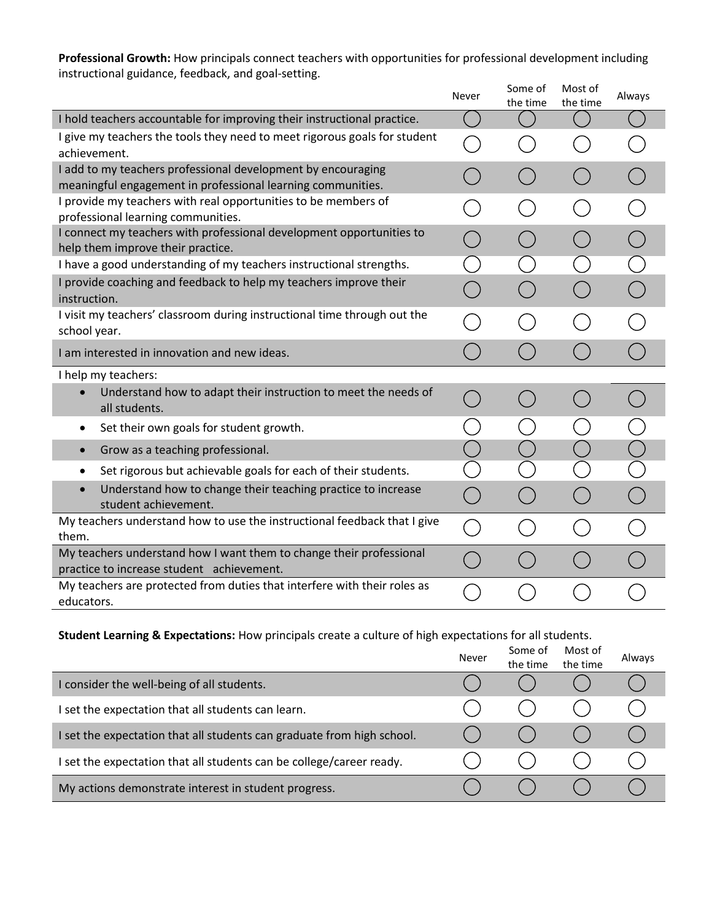**Professional Growth:** How principals connect teachers with opportunities for professional development including instructional guidance, feedback, and goal-setting.

|                                                                                                                             | Never | Some of<br>the time                    | Most of<br>the time | Always |
|-----------------------------------------------------------------------------------------------------------------------------|-------|----------------------------------------|---------------------|--------|
| I hold teachers accountable for improving their instructional practice.                                                     |       |                                        |                     |        |
| I give my teachers the tools they need to meet rigorous goals for student<br>achievement.                                   |       |                                        |                     |        |
| I add to my teachers professional development by encouraging<br>meaningful engagement in professional learning communities. |       |                                        |                     |        |
| I provide my teachers with real opportunities to be members of<br>professional learning communities.                        |       |                                        |                     |        |
| I connect my teachers with professional development opportunities to<br>help them improve their practice.                   |       |                                        |                     |        |
| I have a good understanding of my teachers instructional strengths.                                                         |       |                                        |                     |        |
| I provide coaching and feedback to help my teachers improve their<br>instruction.                                           |       |                                        |                     |        |
| I visit my teachers' classroom during instructional time through out the<br>school year.                                    |       |                                        |                     |        |
| I am interested in innovation and new ideas.                                                                                |       |                                        |                     |        |
| I help my teachers:                                                                                                         |       |                                        |                     |        |
| Understand how to adapt their instruction to meet the needs of<br>$\bullet$<br>all students.                                |       | $\begin{pmatrix} 1 \\ 1 \end{pmatrix}$ |                     |        |
| Set their own goals for student growth.<br>$\bullet$                                                                        |       |                                        |                     |        |
| Grow as a teaching professional.<br>$\bullet$                                                                               |       |                                        |                     |        |
| Set rigorous but achievable goals for each of their students.<br>٠                                                          |       |                                        |                     |        |
| Understand how to change their teaching practice to increase<br>student achievement.                                        |       |                                        |                     |        |
| My teachers understand how to use the instructional feedback that I give<br>them.                                           |       |                                        |                     |        |
| My teachers understand how I want them to change their professional<br>practice to increase student achievement.            |       |                                        |                     |        |
| My teachers are protected from duties that interfere with their roles as<br>educators.                                      |       |                                        |                     |        |

## **Student Learning & Expectations:** How principals create a culture of high expectations for all students.

|                                                                        | Never | Some of<br>the time | Most of<br>the time | Always |
|------------------------------------------------------------------------|-------|---------------------|---------------------|--------|
| I consider the well-being of all students.                             |       |                     |                     |        |
| set the expectation that all students can learn.                       |       |                     |                     |        |
| I set the expectation that all students can graduate from high school. |       |                     |                     |        |
| I set the expectation that all students can be college/career ready.   |       |                     |                     |        |
| My actions demonstrate interest in student progress.                   |       |                     |                     |        |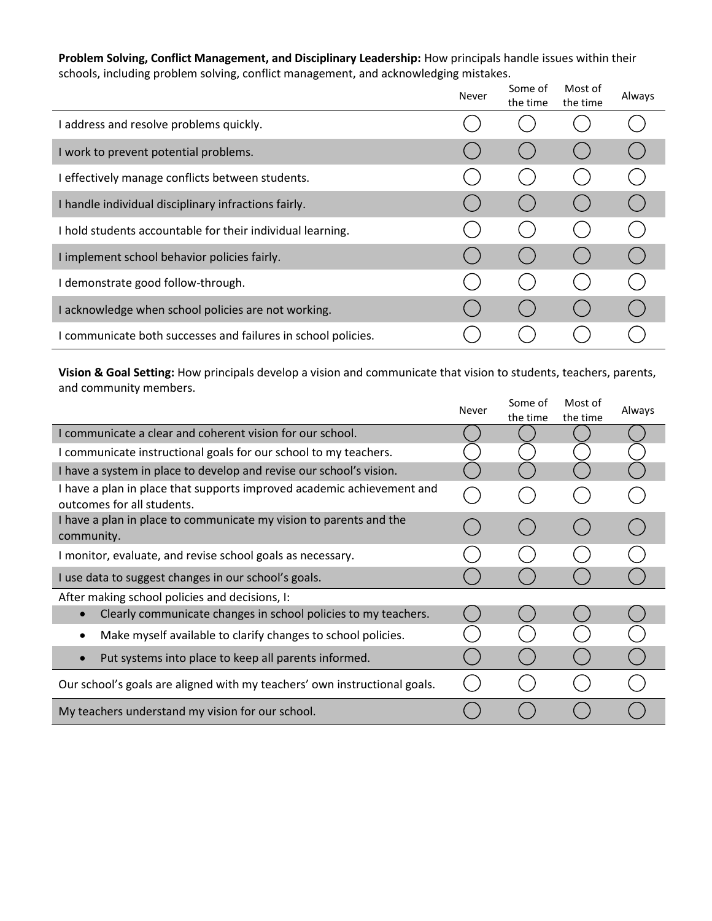**Problem Solving, Conflict Management, and Disciplinary Leadership:** How principals handle issues within their schools, including problem solving, conflict management, and acknowledging mistakes.

|                                                               | Never | Some of<br>the time | Most of<br>the time | Always |
|---------------------------------------------------------------|-------|---------------------|---------------------|--------|
| I address and resolve problems quickly.                       |       |                     |                     |        |
| I work to prevent potential problems.                         |       |                     |                     |        |
| effectively manage conflicts between students.                |       |                     |                     |        |
| I handle individual disciplinary infractions fairly.          |       |                     |                     |        |
| I hold students accountable for their individual learning.    |       |                     |                     |        |
| I implement school behavior policies fairly.                  |       |                     |                     |        |
| I demonstrate good follow-through.                            |       |                     |                     |        |
| I acknowledge when school policies are not working.           |       |                     |                     |        |
| I communicate both successes and failures in school policies. |       |                     |                     |        |

**Vision & Goal Setting:** How principals develop a vision and communicate that vision to students, teachers, parents, and community members.

|                                                                                                      | Never | Some of<br>the time | Most of<br>the time | Always |
|------------------------------------------------------------------------------------------------------|-------|---------------------|---------------------|--------|
| I communicate a clear and coherent vision for our school.                                            |       |                     |                     |        |
| I communicate instructional goals for our school to my teachers.                                     |       |                     |                     |        |
| I have a system in place to develop and revise our school's vision.                                  |       |                     |                     |        |
| I have a plan in place that supports improved academic achievement and<br>outcomes for all students. |       |                     |                     |        |
| I have a plan in place to communicate my vision to parents and the<br>community.                     |       |                     |                     |        |
| I monitor, evaluate, and revise school goals as necessary.                                           |       |                     |                     |        |
| I use data to suggest changes in our school's goals.                                                 |       |                     |                     |        |
| After making school policies and decisions, I:                                                       |       |                     |                     |        |
| Clearly communicate changes in school policies to my teachers.                                       |       |                     |                     |        |
| Make myself available to clarify changes to school policies.<br>$\bullet$                            |       |                     |                     |        |
| Put systems into place to keep all parents informed.                                                 |       |                     |                     |        |
| Our school's goals are aligned with my teachers' own instructional goals.                            |       |                     |                     |        |
| My teachers understand my vision for our school.                                                     |       |                     |                     |        |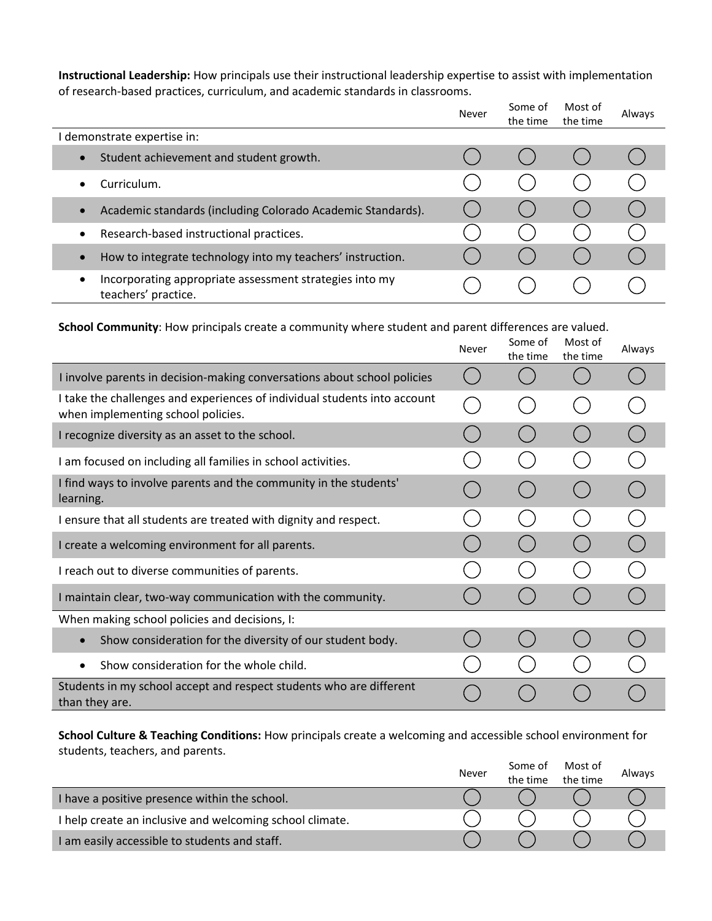**Instructional Leadership:** How principals use their instructional leadership expertise to assist with implementation of research-based practices, curriculum, and academic standards in classrooms.

|                                                                                     | Never | Some of<br>the time | Most of<br>the time | Always |
|-------------------------------------------------------------------------------------|-------|---------------------|---------------------|--------|
| I demonstrate expertise in:                                                         |       |                     |                     |        |
| Student achievement and student growth.<br>$\bullet$                                |       |                     |                     |        |
| Curriculum.<br>٠                                                                    |       |                     |                     |        |
| Academic standards (including Colorado Academic Standards).                         |       |                     |                     |        |
| Research-based instructional practices.<br>$\bullet$                                |       |                     |                     |        |
| How to integrate technology into my teachers' instruction.<br>$\bullet$             |       |                     |                     |        |
| Incorporating appropriate assessment strategies into my<br>٠<br>teachers' practice. |       |                     |                     |        |

**School Community**: How principals create a community where student and parent differences are valued.

|                                                                                                                 | Never | Some of<br>the time | Most of<br>the time | Always |
|-----------------------------------------------------------------------------------------------------------------|-------|---------------------|---------------------|--------|
| I involve parents in decision-making conversations about school policies                                        |       |                     |                     |        |
| I take the challenges and experiences of individual students into account<br>when implementing school policies. |       |                     |                     |        |
| I recognize diversity as an asset to the school.                                                                |       |                     |                     |        |
| I am focused on including all families in school activities.                                                    |       |                     |                     |        |
| I find ways to involve parents and the community in the students'<br>learning.                                  |       |                     |                     |        |
| I ensure that all students are treated with dignity and respect.                                                |       |                     |                     |        |
| I create a welcoming environment for all parents.                                                               |       |                     |                     |        |
| I reach out to diverse communities of parents.                                                                  |       |                     |                     |        |
| I maintain clear, two-way communication with the community.                                                     |       |                     |                     |        |
| When making school policies and decisions, I:                                                                   |       |                     |                     |        |
| Show consideration for the diversity of our student body.<br>$\bullet$                                          |       |                     |                     |        |
| Show consideration for the whole child.<br>$\bullet$                                                            |       |                     |                     |        |
| Students in my school accept and respect students who are different<br>than they are.                           |       |                     |                     |        |

**School Culture & Teaching Conditions:** How principals create a welcoming and accessible school environment for students, teachers, and parents.

|                                                          | Never | Some of<br>the time | Most of<br>the time | Always |
|----------------------------------------------------------|-------|---------------------|---------------------|--------|
| I have a positive presence within the school.            |       |                     |                     |        |
| I help create an inclusive and welcoming school climate. |       |                     |                     |        |
| I am easily accessible to students and staff.            |       |                     |                     |        |
|                                                          |       |                     |                     |        |